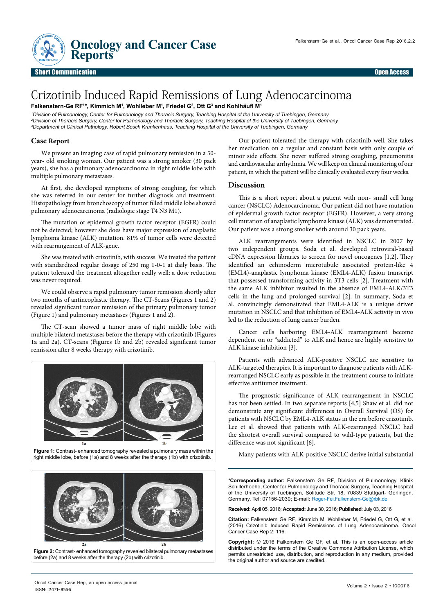

## Crizotinib Induced Rapid Remissions of Lung Adenocarcinoma **Falkenstern-Ge RF1 \*, Kimmich M1 , Wohlleber M1 , Friedel G2 , Ott G3 and Kohlhäufl M<sup>1</sup>**

<sup>1</sup>Division of Pulmonology, Center for Pulmonology and Thoracic Surgery, Teaching Hospital of the University of Tuebingen, Germany <sup>2</sup>Division of Thoracic Surgery, Center for Pulmonology and Thoracic Surgery, Teaching Hospital of the University of Tuebingen, Germany <sup>3</sup>Department of Clinical Pathology, Robert Bosch Krankenhaus, Teaching Hospital of the University of Tuebingen, Germany

## **Case Report**

We present an imaging case of rapid pulmonary remission in a 50 year- old smoking woman. Our patient was a strong smoker (30 pack years), she has a pulmonary adenocarcinoma in right middle lobe with multiple pulmonary metastases.

At first, she developed symptoms of strong coughing, for which she was referred in our center for further diagnosis and treatment. Histopathology from bronchoscopy of tumor filled middle lobe showed pulmonary adenocarcinoma (radiologic stage T4 N3 M1).

The mutation of epidermal growth factor receptor (EGFR) could not be detected; however she does have major expression of anaplastic lymphoma kinase (ALK) mutation. 81% of tumor cells were detected with rearrangement of ALK-gene.

She was treated with crizotinib, with success. We treated the patient with standardized regular dosage of 250 mg 1-0-1 at daily basis. The patient tolerated the treatment altogether really well; a dose reduction was never required.

We could observe a rapid pulmonary tumor remission shortly after two months of antineoplastic therapy. The CT-Scans (Figures 1 and 2) revealed significant tumor remission of the primary pulmonary tumor (Figure 1) and pulmonary metastases (Figures 1 and 2).

The CT-scan showed a tumor mass of right middle lobe with multiple bilateral metastases before the therapy with crizotinib (Figures 1a and 2a). CT-scans (Figures 1b and 2b) revealed significant tumor remission after 8 weeks therapy with crizotinib.



Figure 1: Contrast-enhanced tomography revealed a pulmonary mass within the **Figure 1: Contrast-enhanced tomography revealed a pulmonary mass within the** Many patients with ALK-positive NSCLC derive initial substantial **Ma** right middle lobe, before (1a) and 8 weeks after the therapy (1b) with crizotinib.



Our patient tolerated the therapy with crizotinib well. She takes her medication on a regular and constant basis with only couple of minor side effects. She never suffered strong coughing, pneumonitis and cardiovascular arrhythmia. We will keep on clinical monitoring of our patient, in which the patient will be clinically evaluated every four weeks.

## **Discussion**

This is a short report about a patient with non- small cell lung cancer (NSCLC) Adenocarcinoma. Our patient did not have mutation of epidermal growth factor receptor (EGFR). However, a very strong cell mutation of anaplastic lymphoma kinase (ALK) was demonstrated. Our patient was a strong smoker with around 30 pack years.

ALK rearrangements were identified in NSCLC in 2007 by two independent groups. Soda et al. developed retroviral-based cDNA expression libraries to screen for novel oncogenes [1,2]. They identified an echinoderm microtubule associated protein-like 4 (EML4)-anaplastic lymphoma kinase (EML4-ALK) fusion transcript that possessed transforming activity in 3T3 cells [2]. Treatment with the same ALK inhibitor resulted in the absence of EML4-ALK/3T3 cells in the lung and prolonged survival [2]. In summary, Soda et al. convincingly demonstrated that EML4-ALK is a unique driver mutation in NSCLC and that inhibition of EML4-ALK activity in vivo led to the reduction of lung cancer burden.

Cancer cells harboring EML4-ALK rearrangement become dependent on or "addicted" to ALK and hence are highly sensitive to ALK kinase inhibition [3].

Patients with advanced ALK-positive NSCLC are sensitive to ALK-targeted therapies. It is important to diagnose patients with ALKrearranged NSCLC early as possible in the treatment course to initiate effective antitumor treatment.

The prognostic significance of ALK rearrangement in NSCLC has not been settled. In two separate reports [4,5] Shaw et al. did not demonstrate any significant differences in Overall Survival (OS) for patients with NSCLC by EML4-ALK status in the era before crizotinib. Lee et al. showed that patients with ALK-rearranged NSCLC had the shortest overall survival compared to wild-type patients, but the difference was not significant [6].

**\*Corresponding author:** Falkenstern Ge RF, Division of Pulmonology, Klinik Schillerhoehe, Center for Pulmonology and Thoracic Surgery, Teaching Hospital of the University of Tuebingen, Solitude Str. 18, 70839 Stuttgart- Gerlingen, Germany, Tel: 07156-2030; E-mail: Roger-Fei.Falkenstern-Ge@rbk.de

**Received:** April 05, 2016; **Accepted:** June 30, 2016; **Published**: July 03, 2016

**Citation:** Falkenstern Ge RF, Kimmich M, Wohlleber M, Friedel G, Ott G, et al. (2016) Crizotinib Induced Rapid Remissions of Lung Adenocarcinoma. Oncol Cancer Case Rep 2: 116.

**Copyright:** © 2016 Falkenstern Ge GF, et al. This is an open-access article distributed under the terms of the Creative Commons Attribution License, which permits unrestricted use, distribution, and reproduction in any medium, provided the original author and source are credited.